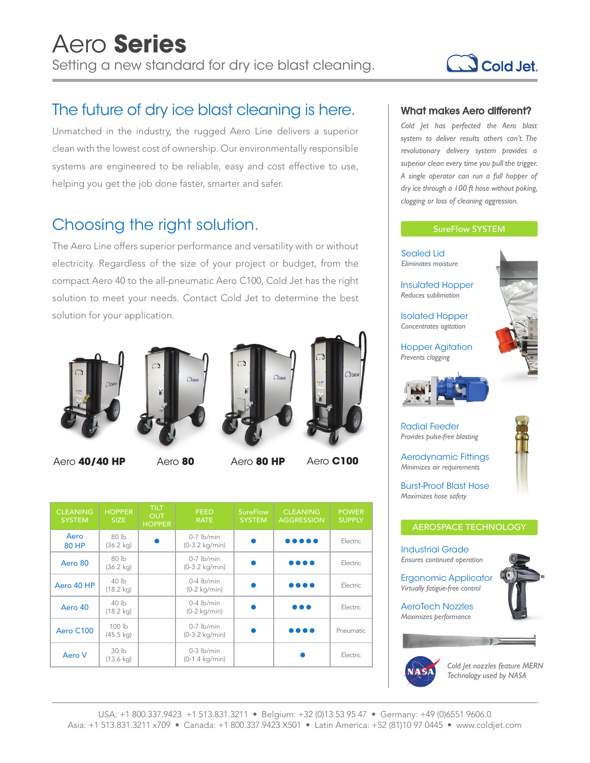

## The future of dry ice blast cleaning is here.

Unmatched in the industry, the rugged Aero Line delivers a superior clean with the lowest cost of ownership. Our environmentally responsible systems are engineered to be reliable, easy and cost effective to use, helping you get the job done faster, smarter and safer.

### Choosing the right solution.

The Aero Line offers superior performance and versatility with or without electricity. Regardless of the size of your project or budget, from the compact Aero 40 to the all-pneumatic Aero C100, Cold Jet has the right solution to meet your needs. Contact Cold Jet to determine the best solution for your application.



Aero **40/40 HP** Aero **80** Aero **80 HP** Aero **C100**







| <b>CLEANING</b><br><b>SYSTEM</b> | <b>HOPPER</b><br><b>SIZE</b>            | TILT<br><b>OUT</b><br><b>HOPPER</b> | <b>FEED</b><br><b>RATE</b>               | <b>SureFlow</b><br><b>SYSTEM</b> | <b>CLEANING</b><br><b>AGGRESSION</b> | <b>POWER</b><br><b>SUPPLY</b> |
|----------------------------------|-----------------------------------------|-------------------------------------|------------------------------------------|----------------------------------|--------------------------------------|-------------------------------|
| Aero<br><b>80 HP</b>             | 80 <sub>h</sub><br>$(36.2 \text{ kg})$  |                                     | $0-7$ lb/min<br>$(0-3.2 \text{ kg/min})$ |                                  | .                                    | Electric                      |
| Aero 80                          | 80 <sub>h</sub><br>$(36.2 \text{ kg})$  |                                     | $0-7$ lb/min<br>$(0-3.2 \text{ kg/min})$ |                                  | .                                    | Electric                      |
| Aero 40 HP                       | 40 <sub>h</sub><br>$(18.2 \text{ kg})$  |                                     | $0-4$ lb/min<br>$(0-2 \text{ kg/min})$   |                                  | .                                    | Electric                      |
| Aero 40                          | 40 lb<br>$(18.2 \text{ kg})$            |                                     | $0-4$ lb/min<br>$(0-2 \text{ kg/min})$   |                                  | .                                    | Electric                      |
| Aero C100                        | 100 lb<br>$(45.5 \text{ kg})$           |                                     | $0-7$ lb/min<br>$(0-3.2 \text{ kg/min})$ |                                  | .                                    | Pneumatic                     |
| Aero V                           | 30 <sub>lb</sub><br>$(13.6 \text{ kg})$ |                                     | $0-3$ lb/min<br>$(0-1.4 \text{ kg/min})$ |                                  |                                      | Electric                      |

### What makes Aero different?

*Cold Jet has perfected the Aero blast system to deliver results others can't. The revolutionary delivery system provides a superior clean every time you pull the trigger. A single operator can run a full hopper of dry ice through a 100 ft hose without poking, clogging or loss of cleaning aggression.*

### SureFlow SYSTEM





*Cold Jet nozzles feature MERN Technology used by NASA*